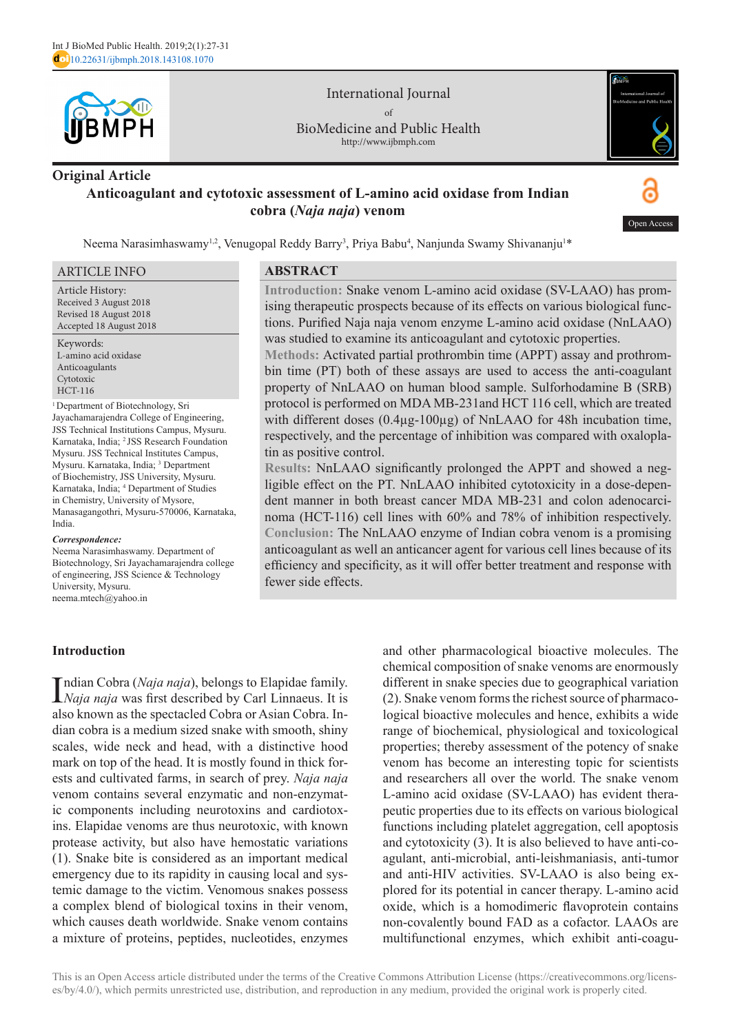

International Journal of BioMedicine and Public Health http://www.ijbmph.com

# **Original Article Anticoagulant and cytotoxic assessment of L-amino acid oxidase from Indian cobra (***Naja naja***) venom**



Neema Narasimhaswamy<sup>1,2</sup>, Venugopal Reddy Barry<sup>3</sup>, Priya Babu<sup>4</sup>, Nanjunda Swamy Shivananju<sup>1\*</sup>

#### ARTICLE INFO

Article History: Received 3 August 2018 Revised 18 August 2018 Accepted 18 August 2018

Keywords: L-amino acid oxidase Anticoagulants Cytotoxic HCT-116

<sup>1</sup> Department of Biotechnology, Sri Jayachamarajendra College of Engineering, JSS Technical Institutions Campus, Mysuru. Karnataka, India; <sup>2</sup> JSS Research Foundation Mysuru. JSS Technical Institutes Campus, Mysuru. Karnataka, India; <sup>3</sup> Department of Biochemistry, JSS University, Mysuru. Karnataka, India; 4 Department of Studies in Chemistry, University of Mysore, Manasagangothri, Mysuru-570006, Karnataka, India.

#### *Correspondence:*

Neema Narasimhaswamy. Department of Biotechnology, Sri Jayachamarajendra college of engineering, JSS Science & Technology University, Mysuru. neema.mtech@yahoo.in

## **Introduction**

Indian Cobra (*Naja naja*), belongs to Elapidae family.<br>*Naja naja* was first described by Carl Linnaeus. It is *Naja naja* was first described by Carl Linnaeus. It is also known as the spectacled Cobra or Asian Cobra. Indian cobra is a medium sized snake with smooth, shiny scales, wide neck and head, with a distinctive hood mark on top of the head. It is mostly found in thick forests and cultivated farms, in search of prey. *Naja naja* venom contains several enzymatic and non-enzymatic components including neurotoxins and cardiotoxins. Elapidae venoms are thus neurotoxic, with known protease activity, but also have hemostatic variations (1). Snake bite is considered as an important medical emergency due to its rapidity in causing local and systemic damage to the victim. Venomous snakes possess a complex blend of biological toxins in their venom, which causes death worldwide. Snake venom contains a mixture of proteins, peptides, nucleotides, enzymes

**ABSTRACT**

**Introduction:** Snake venom L-amino acid oxidase (SV-LAAO) has promising therapeutic prospects because of its effects on various biological functions. Purified Naja naja venom enzyme L-amino acid oxidase (NnLAAO) was studied to examine its anticoagulant and cytotoxic properties.

**Methods:** Activated partial prothrombin time (APPT) assay and prothrombin time (PT) both of these assays are used to access the anti-coagulant property of NnLAAO on human blood sample. Sulforhodamine B (SRB) protocol is performed on MDA MB-231and HCT 116 cell, which are treated with different doses (0.4µg-100µg) of NnLAAO for 48h incubation time, respectively, and the percentage of inhibition was compared with oxaloplatin as positive control.

**Results:** NnLAAO significantly prolonged the APPT and showed a negligible effect on the PT. NnLAAO inhibited cytotoxicity in a dose-dependent manner in both breast cancer MDA MB-231 and colon adenocarcinoma (HCT-116) cell lines with 60% and 78% of inhibition respectively. **Conclusion:** The NnLAAO enzyme of Indian cobra venom is a promising anticoagulant as well an anticancer agent for various cell lines because of its efficiency and specificity, as it will offer better treatment and response with fewer side effects.

> and other pharmacological bioactive molecules. The chemical composition of snake venoms are enormously different in snake species due to geographical variation (2). Snake venom forms the richest source of pharmacological bioactive molecules and hence, exhibits a wide range of biochemical, physiological and toxicological properties; thereby assessment of the potency of snake venom has become an interesting topic for scientists and researchers all over the world. The snake venom L-amino acid oxidase (SV-LAAO) has evident therapeutic properties due to its effects on various biological functions including platelet aggregation, cell apoptosis and cytotoxicity (3). It is also believed to have anti-coagulant, anti-microbial, anti-leishmaniasis, anti-tumor and anti-HIV activities. SV-LAAO is also being explored for its potential in cancer therapy. L-amino acid oxide, which is a homodimeric flavoprotein contains non-covalently bound FAD as a cofactor. LAAOs are multifunctional enzymes, which exhibit anti-coagu-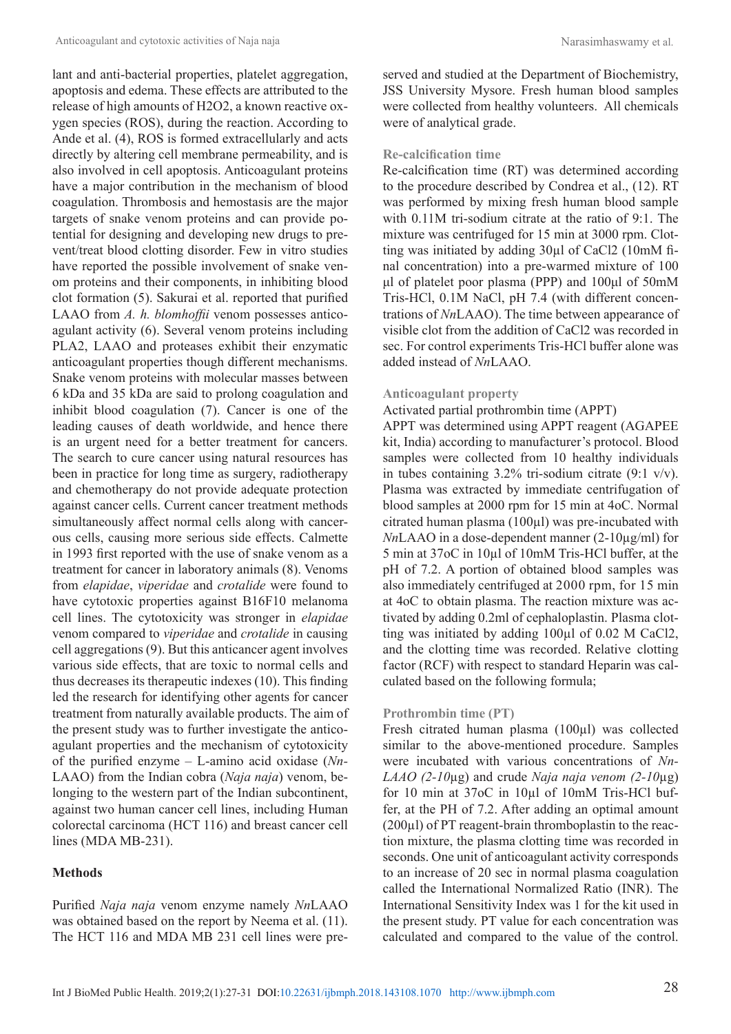lant and anti-bacterial properties, platelet aggregation, apoptosis and edema. These effects are attributed to the release of high amounts of H2O2, a known reactive oxygen species (ROS), during the reaction. According to Ande et al. (4), ROS is formed extracellularly and acts directly by altering cell membrane permeability, and is also involved in cell apoptosis. Anticoagulant proteins have a major contribution in the mechanism of blood coagulation. Thrombosis and hemostasis are the major targets of snake venom proteins and can provide potential for designing and developing new drugs to prevent/treat blood clotting disorder. Few in vitro studies have reported the possible involvement of snake venom proteins and their components, in inhibiting blood clot formation (5). Sakurai et al. reported that purified LAAO from *A. h. blomhoffii* venom possesses anticoagulant activity (6). Several venom proteins including PLA2, LAAO and proteases exhibit their enzymatic anticoagulant properties though different mechanisms. Snake venom proteins with molecular masses between 6 kDa and 35 kDa are said to prolong coagulation and inhibit blood coagulation (7). Cancer is one of the leading causes of death worldwide, and hence there is an urgent need for a better treatment for cancers. The search to cure cancer using natural resources has been in practice for long time as surgery, radiotherapy and chemotherapy do not provide adequate protection against cancer cells. Current cancer treatment methods simultaneously affect normal cells along with cancerous cells, causing more serious side effects. Calmette in 1993 first reported with the use of snake venom as a treatment for cancer in laboratory animals (8). Venoms from *elapidae*, *viperidae* and *crotalide* were found to have cytotoxic properties against B16F10 melanoma cell lines. The cytotoxicity was stronger in *elapidae* venom compared to *viperidae* and *crotalide* in causing cell aggregations (9). But this anticancer agent involves various side effects, that are toxic to normal cells and thus decreases its therapeutic indexes (10). This finding led the research for identifying other agents for cancer treatment from naturally available products. The aim of the present study was to further investigate the anticoagulant properties and the mechanism of cytotoxicity of the purified enzyme – L-amino acid oxidase (*Nn-*LAAO) from the Indian cobra (*Naja naja*) venom, belonging to the western part of the Indian subcontinent, against two human cancer cell lines, including Human colorectal carcinoma (HCT 116) and breast cancer cell lines (MDA MB-231).

#### **Methods**

Purified *Naja naja* venom enzyme namely *Nn*LAAO was obtained based on the report by Neema et al.  $(11)$ . The HCT 116 and MDA MB 231 cell lines were preserved and studied at the Department of Biochemistry, JSS University Mysore. Fresh human blood samples were collected from healthy volunteers. All chemicals were of analytical grade.

#### **Re-calcification time**

Re-calcification time (RT) was determined according to the procedure described by Condrea et al., (12). RT was performed by mixing fresh human blood sample with 0.11M tri-sodium citrate at the ratio of 9:1. The mixture was centrifuged for 15 min at 3000 rpm. Clotting was initiated by adding 30µl of CaCl2 (10mM final concentration) into a pre-warmed mixture of 100 μl of platelet poor plasma (PPP) and 100μl of 50mM Tris-HCl, 0.1M NaCl, pH 7.4 (with different concentrations of *Nn*LAAO). The time between appearance of visible clot from the addition of CaCl2 was recorded in sec. For control experiments Tris-HCl buffer alone was added instead of *Nn*LAAO.

#### **Anticoagulant property**

#### Activated partial prothrombin time (APPT)

APPT was determined using APPT reagent (AGAPEE kit, India) according to manufacturer's protocol. Blood samples were collected from 10 healthy individuals in tubes containing 3.2% tri-sodium citrate (9:1 v/v). Plasma was extracted by immediate centrifugation of blood samples at 2000 rpm for 15 min at 4oC. Normal citrated human plasma (100µl) was pre-incubated with *Nn*LAAO in a dose-dependent manner (2-10µg/ml) for 5 min at 37oC in 10µl of 10mM Tris-HCl buffer, at the pH of 7.2. A portion of obtained blood samples was also immediately centrifuged at 2000 rpm, for 15 min at 4oC to obtain plasma. The reaction mixture was activated by adding 0.2ml of cephaloplastin. Plasma clotting was initiated by adding 100µl of 0.02 M CaCl2, and the clotting time was recorded. Relative clotting factor (RCF) with respect to standard Heparin was calculated based on the following formula;

#### **Prothrombin time (PT)**

Fresh citrated human plasma (100µl) was collected similar to the above-mentioned procedure. Samples were incubated with various concentrations of *Nn-LAAO (2-10*µg) and crude *Naja naja venom (2-10*µg) for 10 min at 37oC in 10µl of 10mM Tris-HCl buffer, at the PH of 7.2. After adding an optimal amount (200µl) of PT reagent-brain thromboplastin to the reaction mixture, the plasma clotting time was recorded in seconds. One unit of anticoagulant activity corresponds to an increase of 20 sec in normal plasma coagulation called the International Normalized Ratio (INR). The International Sensitivity Index was 1 for the kit used in the present study. PT value for each concentration was calculated and compared to the value of the control.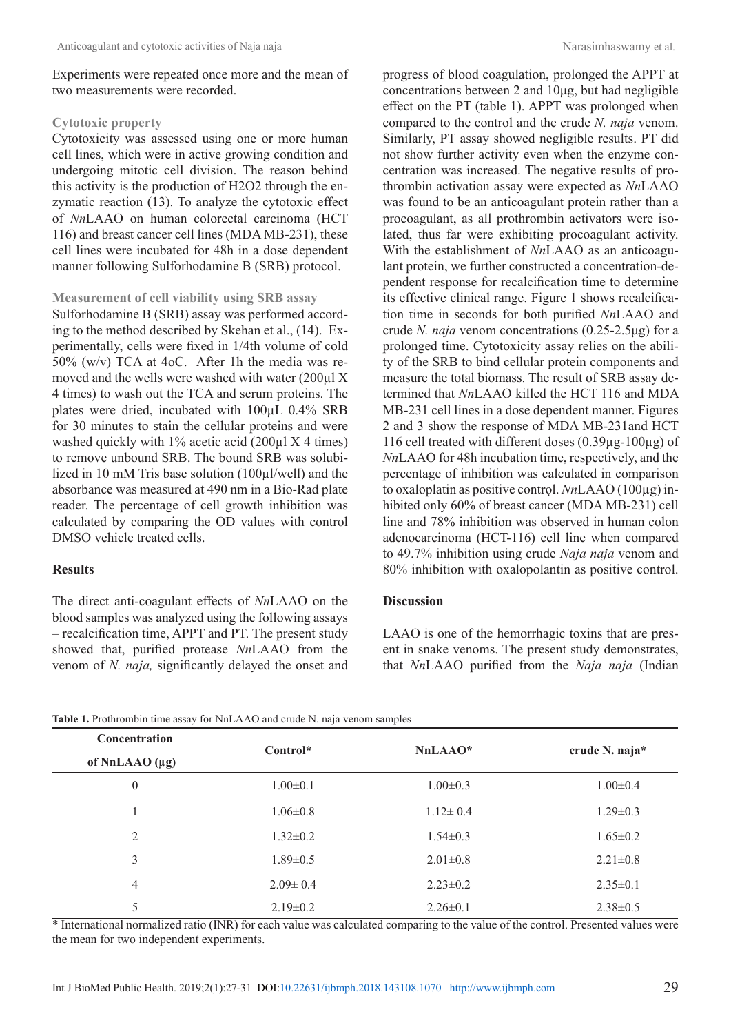Experiments were repeated once more and the mean of two measurements were recorded.

#### **Cytotoxic property**

Cytotoxicity was assessed using one or more human cell lines, which were in active growing condition and undergoing mitotic cell division. The reason behind this activity is the production of H2O2 through the enzymatic reaction (13). To analyze the cytotoxic effect of *Nn*LAAO on human colorectal carcinoma (HCT 116) and breast cancer cell lines (MDA MB-231), these cell lines were incubated for 48h in a dose dependent manner following Sulforhodamine B (SRB) protocol.

#### **Measurement of cell viability using SRB assay**

Sulforhodamine B (SRB) assay was performed according to the method described by Skehan et al., (14). Experimentally, cells were fixed in 1/4th volume of cold 50% (w/v) TCA at 4oC. After 1h the media was removed and the wells were washed with water (200µl X 4 times) to wash out the TCA and serum proteins. The plates were dried, incubated with 100µL 0.4% SRB for 30 minutes to stain the cellular proteins and were washed quickly with 1% acetic acid (200µl X 4 times) to remove unbound SRB. The bound SRB was solubilized in 10 mM Tris base solution (100µl/well) and the absorbance was measured at 490 nm in a Bio-Rad plate reader. The percentage of cell growth inhibition was calculated by comparing the OD values with control DMSO vehicle treated cells.

## **Results**

The direct anti-coagulant effects of *Nn*LAAO on the blood samples was analyzed using the following assays – recalcification time, APPT and PT. The present study showed that, purified protease *Nn*LAAO from the venom of *N. naja,* significantly delayed the onset and progress of blood coagulation, prolonged the APPT at concentrations between 2 and 10μg, but had negligible effect on the PT (table 1). APPT was prolonged when compared to the control and the crude *N. naja* venom. Similarly, PT assay showed negligible results. PT did not show further activity even when the enzyme concentration was increased. The negative results of prothrombin activation assay were expected as *Nn*LAAO was found to be an anticoagulant protein rather than a procoagulant, as all prothrombin activators were isolated, thus far were exhibiting procoagulant activity. With the establishment of *Nn*LAAO as an anticoagulant protein, we further constructed a concentration-dependent response for recalcification time to determine its effective clinical range. Figure 1 shows recalcification time in seconds for both purified *Nn*LAAO and crude *N. naja* venom concentrations (0.25-2.5μg) for a prolonged time. Cytotoxicity assay relies on the ability of the SRB to bind cellular protein components and measure the total biomass. The result of SRB assay determined that *Nn*LAAO killed the HCT 116 and MDA MB-231 cell lines in a dose dependent manner. Figures 2 and 3 show the response of MDA MB-231and HCT 116 cell treated with different doses (0.39µg-100µg) of *Nn*LAAO for 48h incubation time, respectively, and the percentage of inhibition was calculated in comparison to oxaloplatin as positive contrọl. *Nn*LAAO (100µg) inhibited only 60% of breast cancer (MDA MB-231) cell line and 78% inhibition was observed in human colon adenocarcinoma (HCT-116) cell line when compared to 49.7% inhibition using crude *Naja naja* venom and 80% inhibition with oxalopolantin as positive control.

## **Discussion**

LAAO is one of the hemorrhagic toxins that are present in snake venoms. The present study demonstrates, that *Nn*LAAO purified from the *Naja naja* (Indian

| <b>Concentration</b><br>of NnLAAO $(\mu g)$ | Control*       | $NnLAAO*$      | crude N. naja $*$ |
|---------------------------------------------|----------------|----------------|-------------------|
| $\theta$                                    | $1.00 \pm 0.1$ | $1.00 \pm 0.3$ | $1.00 \pm 0.4$    |
|                                             | $1.06 \pm 0.8$ | $1.12 \pm 0.4$ | $1.29 \pm 0.3$    |
| 2                                           | $1.32 \pm 0.2$ | $1.54 \pm 0.3$ | $1.65 \pm 0.2$    |
| 3                                           | $1.89 \pm 0.5$ | $2.01 \pm 0.8$ | $2.21 \pm 0.8$    |
| 4                                           | $2.09 \pm 0.4$ | $2.23 \pm 0.2$ | $2.35 \pm 0.1$    |
| 5                                           | $2.19\pm0.2$   | $2.26 \pm 0.1$ | $2.38\pm0.5$      |

Table 1. Prothrombin time assay for NnLAAO and crude N. naja venom samples

\* International normalized ratio (INR) for each value was calculated comparing to the value of the control. Presented values were the mean for two independent experiments.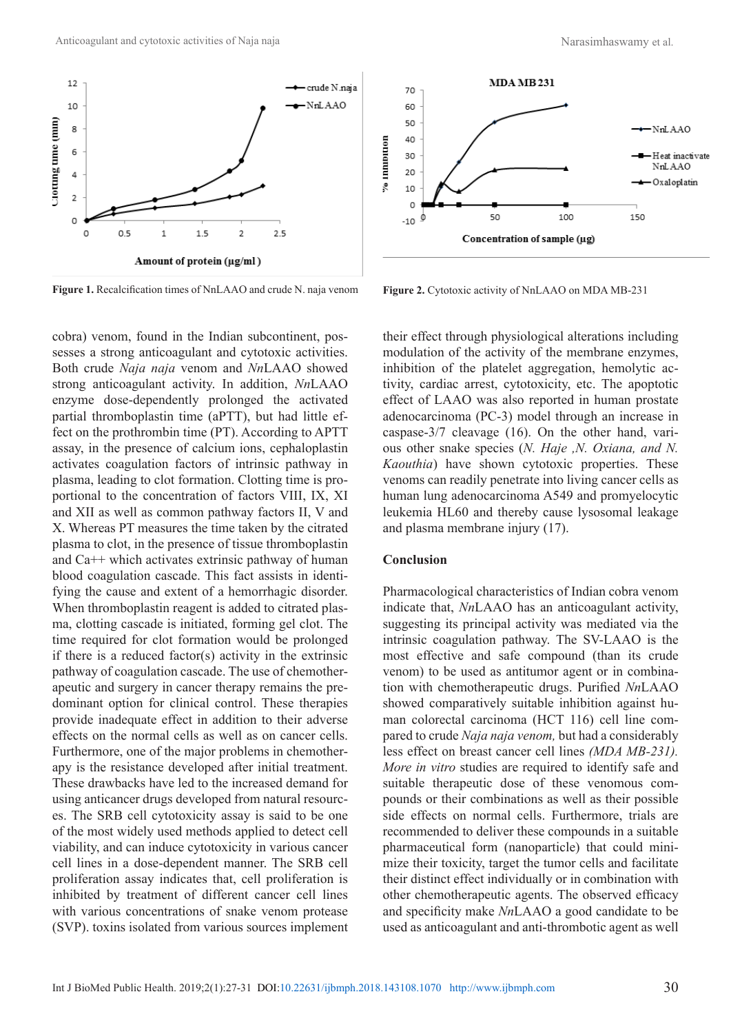

Figure 1. Recalcification times of NnLAAO and crude N. naja venom Figure 2. Cytotoxic activity of NnLAAO on MDA MB-231

cobra) venom, found in the Indian subcontinent, possesses a strong anticoagulant and cytotoxic activities. Both crude *Naja naja* venom and *Nn*LAAO showed strong anticoagulant activity. In addition, *Nn*LAAO enzyme dose-dependently prolonged the activated partial thromboplastin time (aPTT), but had little effect on the prothrombin time (PT). According to APTT assay, in the presence of calcium ions, cephaloplastin activates coagulation factors of intrinsic pathway in plasma, leading to clot formation. Clotting time is proportional to the concentration of factors VIII, IX, XI and XII as well as common pathway factors II, V and X. Whereas PT measures the time taken by the citrated plasma to clot, in the presence of tissue thromboplastin and Ca++ which activates extrinsic pathway of human blood coagulation cascade. This fact assists in identifying the cause and extent of a hemorrhagic disorder. When thromboplastin reagent is added to citrated plasma, clotting cascade is initiated, forming gel clot. The time required for clot formation would be prolonged if there is a reduced factor(s) activity in the extrinsic pathway of coagulation cascade. The use of chemotherapeutic and surgery in cancer therapy remains the predominant option for clinical control. These therapies provide inadequate effect in addition to their adverse effects on the normal cells as well as on cancer cells. Furthermore, one of the major problems in chemotherapy is the resistance developed after initial treatment. These drawbacks have led to the increased demand for using anticancer drugs developed from natural resources. The SRB cell cytotoxicity assay is said to be one of the most widely used methods applied to detect cell viability, and can induce cytotoxicity in various cancer cell lines in a dose-dependent manner. The SRB cell proliferation assay indicates that, cell proliferation is inhibited by treatment of different cancer cell lines with various concentrations of snake venom protease (SVP). toxins isolated from various sources implement



their effect through physiological alterations including modulation of the activity of the membrane enzymes, inhibition of the platelet aggregation, hemolytic activity, cardiac arrest, cytotoxicity, etc. The apoptotic effect of LAAO was also reported in human prostate adenocarcinoma (PC-3) model through an increase in caspase-3/7 cleavage (16). On the other hand, various other snake species (*N. Haje ,N. Oxiana, and N. Kaouthia*) have shown cytotoxic properties. These venoms can readily penetrate into living cancer cells as human lung adenocarcinoma A549 and promyelocytic leukemia HL60 and thereby cause lysosomal leakage and plasma membrane injury (17).

#### **Conclusion**

Pharmacological characteristics of Indian cobra venom indicate that, *Nn*LAAO has an anticoagulant activity, suggesting its principal activity was mediated via the intrinsic coagulation pathway. The SV-LAAO is the most effective and safe compound (than its crude venom) to be used as antitumor agent or in combination with chemotherapeutic drugs. Purified *Nn*LAAO showed comparatively suitable inhibition against human colorectal carcinoma (HCT 116) cell line compared to crude *Naja naja venom,* but had a considerably less effect on breast cancer cell lines *(MDA MB-231). More in vitro* studies are required to identify safe and suitable therapeutic dose of these venomous compounds or their combinations as well as their possible side effects on normal cells. Furthermore, trials are recommended to deliver these compounds in a suitable pharmaceutical form (nanoparticle) that could minimize their toxicity, target the tumor cells and facilitate their distinct effect individually or in combination with other chemotherapeutic agents. The observed efficacy and specificity make *Nn*LAAO a good candidate to be used as anticoagulant and anti-thrombotic agent as well